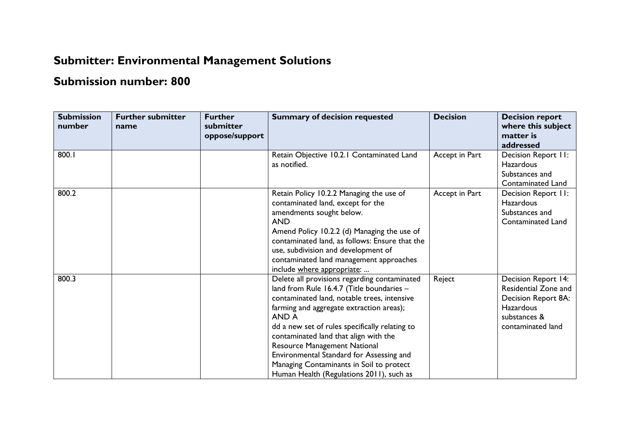## **Submitter: Environmental Management Solutions**

## **Submission number: 800**

| <b>Submission</b><br>number | <b>Further submitter</b><br>name | <b>Further</b><br>submitter<br>oppose/support | <b>Summary of decision requested</b>                                                                                                                                                                                                                                                                                                                                                                                                                         | <b>Decision</b> | <b>Decision report</b><br>where this subject<br>matter is<br>addressed                                                      |
|-----------------------------|----------------------------------|-----------------------------------------------|--------------------------------------------------------------------------------------------------------------------------------------------------------------------------------------------------------------------------------------------------------------------------------------------------------------------------------------------------------------------------------------------------------------------------------------------------------------|-----------------|-----------------------------------------------------------------------------------------------------------------------------|
| 800.1                       |                                  |                                               | Retain Objective 10.2.1 Contaminated Land<br>as notified.                                                                                                                                                                                                                                                                                                                                                                                                    | Accept in Part  | Decision Report II:<br><b>Hazardous</b><br>Substances and<br>Contaminated Land                                              |
| 800.2                       |                                  |                                               | Retain Policy 10.2.2 Managing the use of<br>contaminated land, except for the<br>amendments sought below.<br><b>AND</b><br>Amend Policy 10.2.2 (d) Managing the use of<br>contaminated land, as follows: Ensure that the<br>use, subdivision and development of<br>contaminated land management approaches<br>include where appropriate:                                                                                                                     | Accept in Part  | Decision Report II:<br><b>Hazardous</b><br>Substances and<br><b>Contaminated Land</b>                                       |
| 800.3                       |                                  |                                               | Delete all provisions regarding contaminated<br>land from Rule 16.4.7 (Title boundaries -<br>contaminated land, notable trees, intensive<br>farming and aggregate extraction areas);<br>AND A<br>dd a new set of rules specifically relating to<br>contaminated land that align with the<br>Resource Management National<br>Environmental Standard for Assessing and<br>Managing Contaminants in Soil to protect<br>Human Health (Regulations 2011), such as | Reject          | Decision Report 14:<br>Residential Zone and<br>Decision Report 8A:<br><b>Hazardous</b><br>substances &<br>contaminated land |